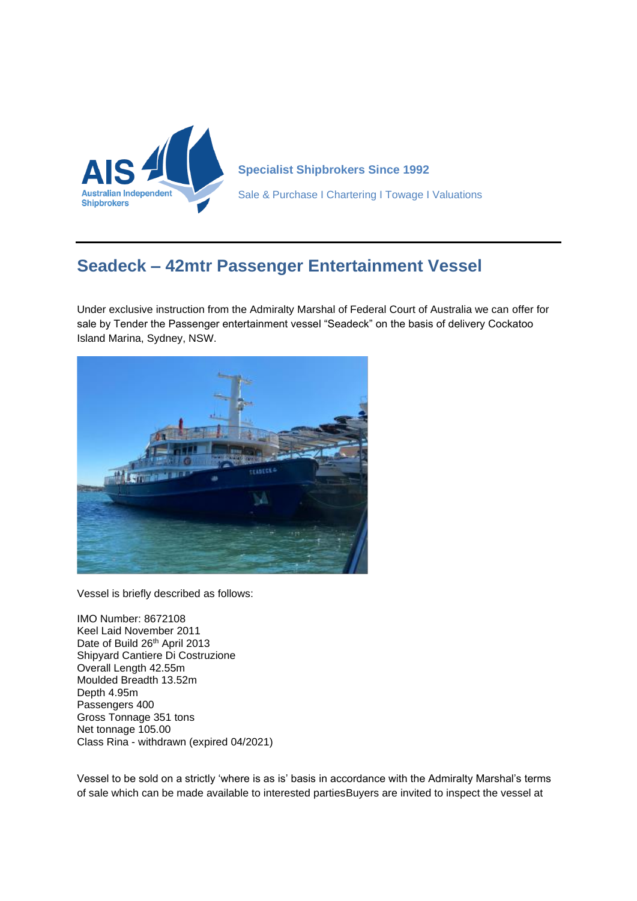

**Specialist Shipbrokers Since 1992** Sale & Purchase I Chartering I Towage I Valuations

## **Seadeck – 42mtr Passenger Entertainment Vessel**

Under exclusive instruction from the Admiralty Marshal of Federal Court of Australia we can offer for sale by Tender the Passenger entertainment vessel "Seadeck" on the basis of delivery Cockatoo Island Marina, Sydney, NSW.



Vessel is briefly described as follows:

IMO Number: 8672108 Keel Laid November 2011 Date of Build 26<sup>th</sup> April 2013 Shipyard Cantiere Di Costruzione Overall Length 42.55m Moulded Breadth 13.52m Depth 4.95m Passengers 400 Gross Tonnage 351 tons Net tonnage 105.00 Class Rina - withdrawn (expired 04/2021)

Vessel to be sold on a strictly 'where is as is' basis in accordance with the Admiralty Marshal's terms of sale which can be made available to interested partiesBuyers are invited to inspect the vessel at